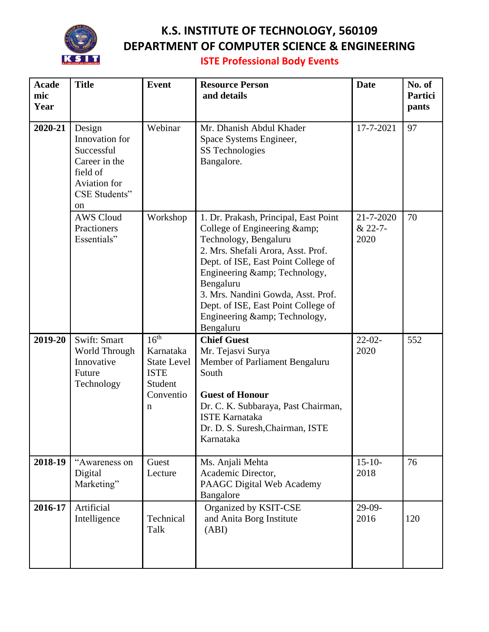

## **K.S. INSTITUTE OF TECHNOLOGY, 560109 DEPARTMENT OF COMPUTER SCIENCE & ENGINEERING**

**ISTE Professional Body Events**

| <b>Acade</b><br>mic<br>Year | <b>Title</b>                                                                                                                 | <b>Event</b>                                                                                    | <b>Resource Person</b><br>and details                                                                                                                                                                                                                                                                                                         | <b>Date</b>                  | No. of<br>Partici<br>pants |
|-----------------------------|------------------------------------------------------------------------------------------------------------------------------|-------------------------------------------------------------------------------------------------|-----------------------------------------------------------------------------------------------------------------------------------------------------------------------------------------------------------------------------------------------------------------------------------------------------------------------------------------------|------------------------------|----------------------------|
| 2020-21                     | Design<br>Innovation for<br>Successful<br>Career in the<br>field of<br><b>Aviation</b> for<br>CSE Students"<br><sub>on</sub> | Webinar                                                                                         | Mr. Dhanish Abdul Khader<br>Space Systems Engineer,<br>SS Technologies<br>Bangalore.                                                                                                                                                                                                                                                          | 17-7-2021                    | 97                         |
|                             | <b>AWS Cloud</b><br>Practioners<br>Essentials"                                                                               | Workshop                                                                                        | 1. Dr. Prakash, Principal, East Point<br>College of Engineering & amp;<br>Technology, Bengaluru<br>2. Mrs. Shefali Arora, Asst. Prof.<br>Dept. of ISE, East Point College of<br>Engineering & Technology,<br>Bengaluru<br>3. Mrs. Nandini Gowda, Asst. Prof.<br>Dept. of ISE, East Point College of<br>Engineering & Technology,<br>Bengaluru | 21-7-2020<br>& 22-7-<br>2020 | 70                         |
| 2019-20                     | Swift: Smart<br>World Through<br>Innovative<br>Future<br>Technology                                                          | 16 <sup>th</sup><br>Karnataka<br><b>State Level</b><br><b>ISTE</b><br>Student<br>Conventio<br>n | <b>Chief Guest</b><br>Mr. Tejasvi Surya<br>Member of Parliament Bengaluru<br>South<br><b>Guest of Honour</b><br>Dr. C. K. Subbaraya, Past Chairman,<br><b>ISTE Karnataka</b><br>Dr. D. S. Suresh, Chairman, ISTE<br>Karnataka                                                                                                                 | $22-02-$<br>2020             | 552                        |
| 2018-19                     | "Awareness on<br>Digital<br>Marketing"                                                                                       | Guest<br>Lecture                                                                                | Ms. Anjali Mehta<br>Academic Director,<br>PAAGC Digital Web Academy<br>Bangalore                                                                                                                                                                                                                                                              | $15 - 10$<br>2018            | 76                         |
| 2016-17                     | Artificial<br>Intelligence                                                                                                   | Technical<br>Talk                                                                               | Organized by KSIT-CSE<br>and Anita Borg Institute<br>(ABI)                                                                                                                                                                                                                                                                                    | $29-09-$<br>2016             | 120                        |